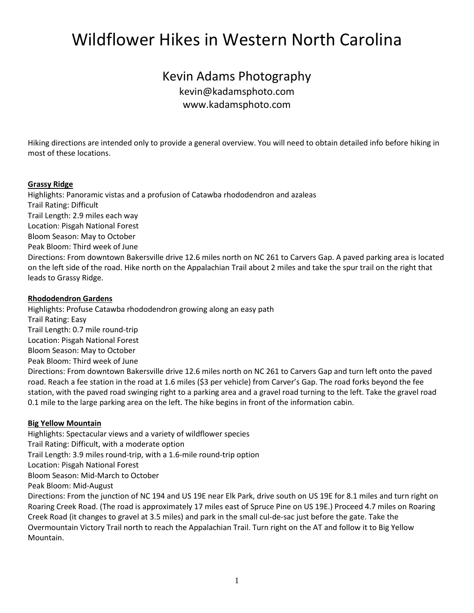# Wildflower Hikes in Western North Carolina

# Kevin Adams Photography kevin@kadamsphoto.com [www.kadamsphoto.com](http://www.kadamsphoto.com/)

Hiking directions are intended only to provide a general overview. You will need to obtain detailed info before hiking in most of these locations.

#### **Grassy Ridge**

Highlights: Panoramic vistas and a profusion of Catawba rhododendron and azaleas Trail Rating: Difficult Trail Length: 2.9 miles each way Location: Pisgah National Forest Bloom Season: May to October Peak Bloom: Third week of June Directions: From downtown Bakersville drive 12.6 miles north on NC 261 to Carvers Gap. A paved parking area is located on the left side of the road. Hike north on the Appalachian Trail about 2 miles and take the spur trail on the right that leads to Grassy Ridge.

#### **Rhododendron Gardens**

Highlights: Profuse Catawba rhododendron growing along an easy path Trail Rating: Easy Trail Length: 0.7 mile round-trip Location: Pisgah National Forest Bloom Season: May to October Peak Bloom: Third week of June Directions: From downtown Bakersville drive 12.6 miles north on NC 261 to Carvers Gap and turn left onto the paved road. Reach a fee station in the road at 1.6 miles (\$3 per vehicle) from Carver's Gap. The road forks beyond the fee station, with the paved road swinging right to a parking area and a gravel road turning to the left. Take the gravel road 0.1 mile to the large parking area on the left. The hike begins in front of the information cabin.

# **Big Yellow Mountain**

Highlights: Spectacular views and a variety of wildflower species Trail Rating: Difficult, with a moderate option Trail Length: 3.9 miles round-trip, with a 1.6-mile round-trip option Location: Pisgah National Forest Bloom Season: Mid-March to October Peak Bloom: Mid-August Directions: From the junction of NC 194 and US 19E near Elk Park, drive south on US 19E for 8.1 miles and turn right on Roaring Creek Road. (The road is approximately 17 miles east of Spruce Pine on US 19E.) Proceed 4.7 miles on Roaring Creek Road (it changes to gravel at 3.5 miles) and park in the small cul-de-sac just before the gate. Take the Overmountain Victory Trail north to reach the Appalachian Trail. Turn right on the AT and follow it to Big Yellow Mountain.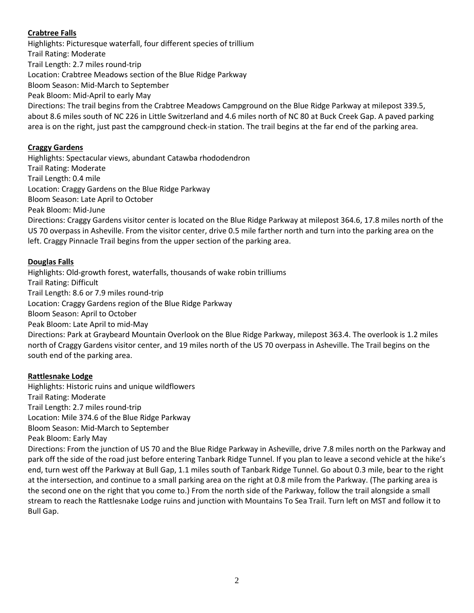# **Crabtree Falls**

Highlights: Picturesque waterfall, four different species of trillium Trail Rating: Moderate Trail Length: 2.7 miles round-trip Location: Crabtree Meadows section of the Blue Ridge Parkway Bloom Season: Mid-March to September Peak Bloom: Mid-April to early May Directions: The trail begins from the Crabtree Meadows Campground on the Blue Ridge Parkway at milepost 339.5, about 8.6 miles south of NC 226 in Little Switzerland and 4.6 miles north of NC 80 at Buck Creek Gap. A paved parking area is on the right, just past the campground check-in station. The trail begins at the far end of the parking area.

# **Craggy Gardens**

Highlights: Spectacular views, abundant Catawba rhododendron Trail Rating: Moderate Trail Length: 0.4 mile Location: Craggy Gardens on the Blue Ridge Parkway Bloom Season: Late April to October Peak Bloom: Mid-June Directions: Craggy Gardens visitor center is located on the Blue Ridge Parkway at milepost 364.6, 17.8 miles north of the US 70 overpass in Asheville. From the visitor center, drive 0.5 mile farther north and turn into the parking area on the left. Craggy Pinnacle Trail begins from the upper section of the parking area.

#### **Douglas Falls**

Highlights: Old-growth forest, waterfalls, thousands of wake robin trilliums Trail Rating: Difficult Trail Length: 8.6 or 7.9 miles round-trip Location: Craggy Gardens region of the Blue Ridge Parkway Bloom Season: April to October Peak Bloom: Late April to mid-May Directions: Park at Graybeard Mountain Overlook on the Blue Ridge Parkway, milepost 363.4. The overlook is 1.2 miles north of Craggy Gardens visitor center, and 19 miles north of the US 70 overpass in Asheville. The Trail begins on the south end of the parking area.

#### **Rattlesnake Lodge**

Highlights: Historic ruins and unique wildflowers Trail Rating: Moderate Trail Length: 2.7 miles round-trip Location: Mile 374.6 of the Blue Ridge Parkway Bloom Season: Mid-March to September Peak Bloom: Early May Directions: From the junction of US 70 and the Blue Ridge Parkway in Asheville, drive 7.8 miles north on the Parkway and park off the side of the road just before entering Tanbark Ridge Tunnel. If you plan to leave a second vehicle at the hike's end, turn west off the Parkway at Bull Gap, 1.1 miles south of Tanbark Ridge Tunnel. Go about 0.3 mile, bear to the right at the intersection, and continue to a small parking area on the right at 0.8 mile from the Parkway. (The parking area is the second one on the right that you come to.) From the north side of the Parkway, follow the trail alongside a small stream to reach the Rattlesnake Lodge ruins and junction with Mountains To Sea Trail. Turn left on MST and follow it to Bull Gap.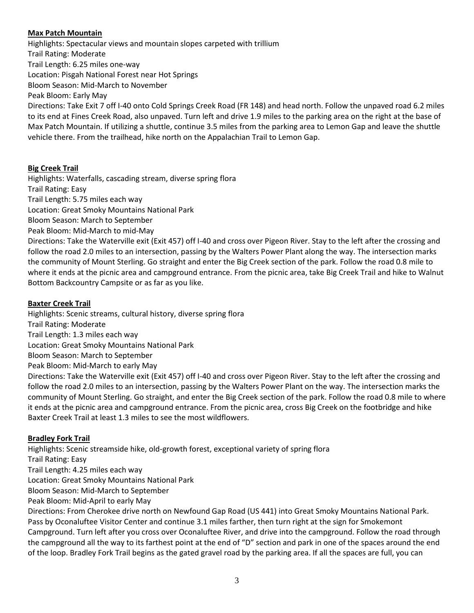### **Max Patch Mountain**

Highlights: Spectacular views and mountain slopes carpeted with trillium Trail Rating: Moderate Trail Length: 6.25 miles one-way Location: Pisgah National Forest near Hot Springs Bloom Season: Mid-March to November Peak Bloom: Early May Directions: Take Exit 7 off I-40 onto Cold Springs Creek Road (FR 148) and head north. Follow the unpaved road 6.2 miles

to its end at Fines Creek Road, also unpaved. Turn left and drive 1.9 miles to the parking area on the right at the base of Max Patch Mountain. If utilizing a shuttle, continue 3.5 miles from the parking area to Lemon Gap and leave the shuttle vehicle there. From the trailhead, hike north on the Appalachian Trail to Lemon Gap.

#### **Big Creek Trail**

Highlights: Waterfalls, cascading stream, diverse spring flora Trail Rating: Easy Trail Length: 5.75 miles each way Location: Great Smoky Mountains National Park Bloom Season: March to September Peak Bloom: Mid-March to mid-May Directions: Take the Waterville exit (Exit 457) off I-40 and cross over Pigeon River. Stay to the left after the crossing and follow the road 2.0 miles to an intersection, passing by the Walters Power Plant along the way. The intersection marks the community of Mount Sterling. Go straight and enter the Big Creek section of the park. Follow the road 0.8 mile to where it ends at the picnic area and campground entrance. From the picnic area, take Big Creek Trail and hike to Walnut

#### **Baxter Creek Trail**

Highlights: Scenic streams, cultural history, diverse spring flora

Trail Rating: Moderate

Trail Length: 1.3 miles each way

Location: Great Smoky Mountains National Park

Bottom Backcountry Campsite or as far as you like.

Bloom Season: March to September

Peak Bloom: Mid-March to early May

Directions: Take the Waterville exit (Exit 457) off I-40 and cross over Pigeon River. Stay to the left after the crossing and follow the road 2.0 miles to an intersection, passing by the Walters Power Plant on the way. The intersection marks the community of Mount Sterling. Go straight, and enter the Big Creek section of the park. Follow the road 0.8 mile to where it ends at the picnic area and campground entrance. From the picnic area, cross Big Creek on the footbridge and hike Baxter Creek Trail at least 1.3 miles to see the most wildflowers.

#### **Bradley Fork Trail**

Highlights: Scenic streamside hike, old-growth forest, exceptional variety of spring flora Trail Rating: Easy Trail Length: 4.25 miles each way Location: Great Smoky Mountains National Park Bloom Season: Mid-March to September Peak Bloom: Mid-April to early May

Directions: From Cherokee drive north on Newfound Gap Road (US 441) into Great Smoky Mountains National Park. Pass by Oconaluftee Visitor Center and continue 3.1 miles farther, then turn right at the sign for Smokemont Campground. Turn left after you cross over Oconaluftee River, and drive into the campground. Follow the road through the campground all the way to its farthest point at the end of "D" section and park in one of the spaces around the end of the loop. Bradley Fork Trail begins as the gated gravel road by the parking area. If all the spaces are full, you can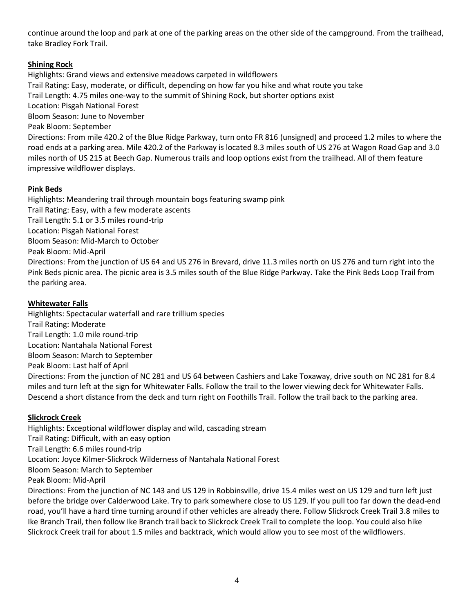continue around the loop and park at one of the parking areas on the other side of the campground. From the trailhead, take Bradley Fork Trail.

# **Shining Rock**

Highlights: Grand views and extensive meadows carpeted in wildflowers Trail Rating: Easy, moderate, or difficult, depending on how far you hike and what route you take Trail Length: 4.75 miles one-way to the summit of Shining Rock, but shorter options exist Location: Pisgah National Forest Bloom Season: June to November Peak Bloom: September Directions: From mile 420.2 of the Blue Ridge Parkway, turn onto FR 816 (unsigned) and proceed 1.2 miles to where the road ends at a parking area. Mile 420.2 of the Parkway is located 8.3 miles south of US 276 at Wagon Road Gap and 3.0 miles north of US 215 at Beech Gap. Numerous trails and loop options exist from the trailhead. All of them feature

impressive wildflower displays.

# **Pink Beds**

Highlights: Meandering trail through mountain bogs featuring swamp pink Trail Rating: Easy, with a few moderate ascents Trail Length: 5.1 or 3.5 miles round-trip Location: Pisgah National Forest Bloom Season: Mid-March to October Peak Bloom: Mid-April Directions: From the junction of US 64 and US 276 in Brevard, drive 11.3 miles north on US 276 and turn right into the Pink Beds picnic area. The picnic area is 3.5 miles south of the Blue Ridge Parkway. Take the Pink Beds Loop Trail from the parking area.

# **Whitewater Falls**

Highlights: Spectacular waterfall and rare trillium species Trail Rating: Moderate Trail Length: 1.0 mile round-trip Location: Nantahala National Forest Bloom Season: March to September Peak Bloom: Last half of April Directions: From the junction of NC 281 and US 64 between Cashiers and Lake Toxaway, drive south on NC 281 for 8.4 miles and turn left at the sign for Whitewater Falls. Follow the trail to the lower viewing deck for Whitewater Falls. Descend a short distance from the deck and turn right on Foothills Trail. Follow the trail back to the parking area.

# **Slickrock Creek**

Highlights: Exceptional wildflower display and wild, cascading stream Trail Rating: Difficult, with an easy option Trail Length: 6.6 miles round-trip Location: Joyce Kilmer-Slickrock Wilderness of Nantahala National Forest Bloom Season: March to September Peak Bloom: Mid-April Directions: From the junction of NC 143 and US 129 in Robbinsville, drive 15.4 miles west on US 129 and turn left just before the bridge over Calderwood Lake. Try to park somewhere close to US 129. If you pull too far down the dead-end road, you'll have a hard time turning around if other vehicles are already there. Follow Slickrock Creek Trail 3.8 miles to Ike Branch Trail, then follow Ike Branch trail back to Slickrock Creek Trail to complete the loop. You could also hike Slickrock Creek trail for about 1.5 miles and backtrack, which would allow you to see most of the wildflowers.